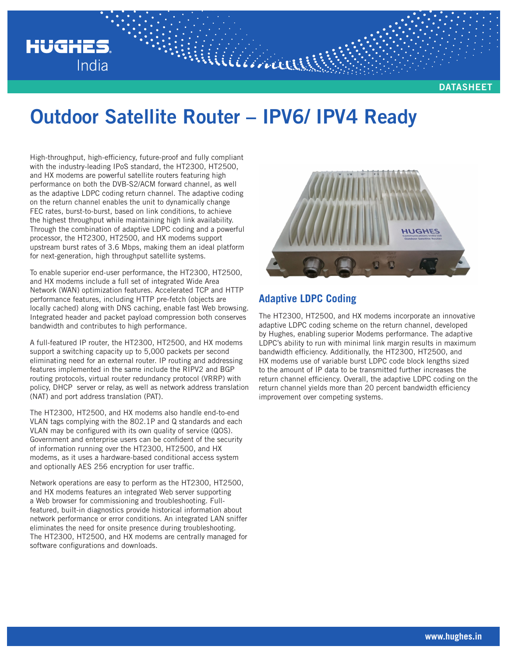

MUULLA

High-throughput, high-efficiency, future-proof and fully compliant with the industry-leading IPoS standard, the HT2300, HT2500, and HX modems are powerful satellite routers featuring high performance on both the DVB-S2/ACM forward channel, as well as the adaptive LDPC coding return channel. The adaptive coding on the return channel enables the unit to dynamically change FEC rates, burst-to-burst, based on link conditions, to achieve the highest throughput while maintaining high link availability. Through the combination of adaptive LDPC coding and a powerful processor, the HT2300, HT2500, and HX modems support upstream burst rates of 3.6 Mbps, making them an ideal platform for next-generation, high throughput satellite systems.

**HUGHES** 

India

To enable superior end-user performance, the HT2300, HT2500, and HX modems include a full set of integrated Wide Area Network (WAN) optimization features. Accelerated TCP and HTTP performance features, including HTTP pre-fetch (objects are locally cached) along with DNS caching, enable fast Web browsing. Integrated header and packet payload compression both conserves bandwidth and contributes to high performance.

A full-featured IP router, the HT2300, HT2500, and HX modems support a switching capacity up to 5,000 packets per second eliminating need for an external router. IP routing and addressing features implemented in the same include the RIPV2 and BGP routing protocols, virtual router redundancy protocol (VRRP) with policy, DHCP server or relay, as well as network address translation (NAT) and port address translation (PAT).

The HT2300, HT2500, and HX modems also handle end-to-end VLAN tags complying with the 802.1P and Q standards and each VLAN may be configured with its own quality of service (QOS). Government and enterprise users can be confident of the security of information running over the HT2300, HT2500, and HX modems, as it uses a hardware-based conditional access system and optionally AES 256 encryption for user traffic.

Network operations are easy to perform as the HT2300, HT2500, and HX modems features an integrated Web server supporting a Web browser for commissioning and troubleshooting. Fullfeatured, built-in diagnostics provide historical information about network performance or error conditions. An integrated LAN sniffer eliminates the need for onsite presence during troubleshooting. The HT2300, HT2500, and HX modems are centrally managed for software configurations and downloads.



## **Adaptive LDPC Coding**

The HT2300, HT2500, and HX modems incorporate an innovative adaptive LDPC coding scheme on the return channel, developed by Hughes, enabling superior Modems performance. The adaptive LDPC's ability to run with minimal link margin results in maximum bandwidth efficiency. Additionally, the HT2300, HT2500, and HX modems use of variable burst LDPC code block lengths sized to the amount of IP data to be transmitted further increases the return channel efficiency. Overall, the adaptive LDPC coding on the return channel yields more than 20 percent bandwidth efficiency improvement over competing systems.

**DATASHEET**